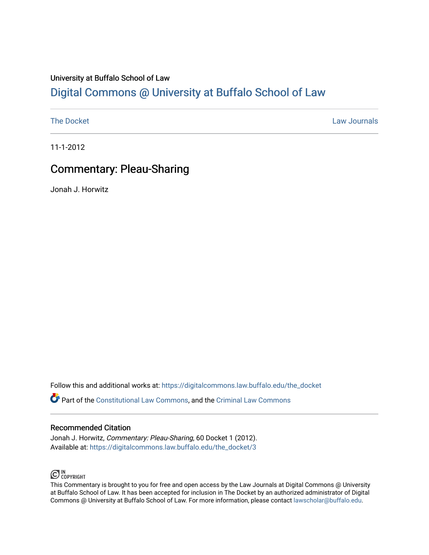## University at Buffalo School of Law [Digital Commons @ University at Buffalo School of Law](https://digitalcommons.law.buffalo.edu/)

[The Docket](https://digitalcommons.law.buffalo.edu/the_docket) **Law Journals** 

11-1-2012

# Commentary: Pleau-Sharing

Jonah J. Horwitz

Follow this and additional works at: [https://digitalcommons.law.buffalo.edu/the\\_docket](https://digitalcommons.law.buffalo.edu/the_docket?utm_source=digitalcommons.law.buffalo.edu%2Fthe_docket%2F3&utm_medium=PDF&utm_campaign=PDFCoverPages) 

Part of the [Constitutional Law Commons,](http://network.bepress.com/hgg/discipline/589?utm_source=digitalcommons.law.buffalo.edu%2Fthe_docket%2F3&utm_medium=PDF&utm_campaign=PDFCoverPages) and the [Criminal Law Commons](http://network.bepress.com/hgg/discipline/912?utm_source=digitalcommons.law.buffalo.edu%2Fthe_docket%2F3&utm_medium=PDF&utm_campaign=PDFCoverPages)

### Recommended Citation

Jonah J. Horwitz, Commentary: Pleau-Sharing, 60 Docket 1 (2012). Available at: [https://digitalcommons.law.buffalo.edu/the\\_docket/3](https://digitalcommons.law.buffalo.edu/the_docket/3?utm_source=digitalcommons.law.buffalo.edu%2Fthe_docket%2F3&utm_medium=PDF&utm_campaign=PDFCoverPages) 

## $\bigodot$  IN COPYRIGHT

This Commentary is brought to you for free and open access by the Law Journals at Digital Commons @ University at Buffalo School of Law. It has been accepted for inclusion in The Docket by an authorized administrator of Digital Commons @ University at Buffalo School of Law. For more information, please contact [lawscholar@buffalo.edu](mailto:lawscholar@buffalo.edu).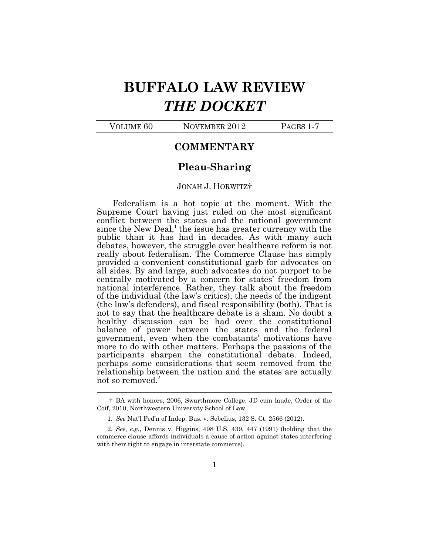# **BUFFALO LAW REVIEW**  *THE DOCKET*

VOLUME 60 NOVEMBER 2012 PAGES 1-7

### **COMMENTARY**

### **Pleau-Sharing**

#### JONAH J. HORWITZ†

Federalism is a hot topic at the moment. With the Supreme Court having just ruled on the most significant conflict between the states and the national government since the New Deal, $<sup>1</sup>$  the issue has greater currency with the</sup> public than it has had in decades. As with many such debates, however, the struggle over healthcare reform is not really about federalism. The Commerce Clause has simply provided a convenient constitutional garb for advocates on all sides. By and large, such advocates do not purport to be centrally motivated by a concern for states' freedom from national interference. Rather, they talk about the freedom of the individual (the law's critics), the needs of the indigent (the law's defenders), and fiscal responsibility (both). That is not to say that the healthcare debate is a sham. No doubt a healthy discussion can be had over the constitutional balance of power between the states and the federal government, even when the combatants' motivations have more to do with other matters. Perhaps the passions of the participants sharpen the constitutional debate. Indeed, perhaps some considerations that seem removed from the relationship between the nation and the states are actually not so removed.<sup>2</sup> 

<sup>†</sup> BA with honors, 2006, Swarthmore College. JD cum laude, Order of the Coif, 2010, Northwestern University School of Law.

<sup>1.</sup> *See* Nat'l Fed'n of Indep. Bus. v. Sebelius, 132 S. Ct. 2566 (2012).

<sup>2.</sup> *See, e.g.*, Dennis v. Higgins, 498 U.S. 439, 447 (1991) (holding that the commerce clause affords individuals a cause of action against states interfering with their right to engage in interstate commerce).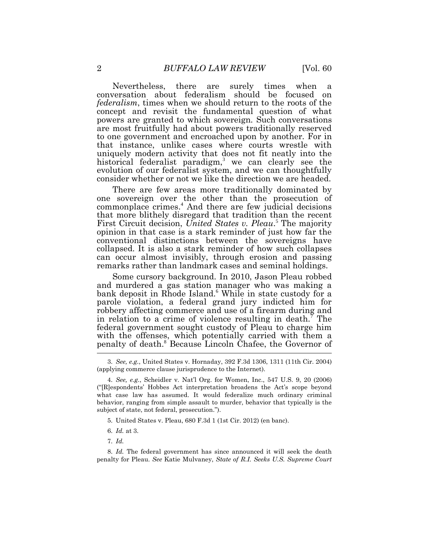Nevertheless, there are surely times when a conversation about federalism should be focused on *federalism*, times when we should return to the roots of the concept and revisit the fundamental question of what powers are granted to which sovereign. Such conversations are most fruitfully had about powers traditionally reserved to one government and encroached upon by another. For in that instance, unlike cases where courts wrestle with uniquely modern activity that does not fit neatly into the historical federalist paradigm,<sup>3</sup> we can clearly see the evolution of our federalist system, and we can thoughtfully consider whether or not we like the direction we are headed.

There are few areas more traditionally dominated by one sovereign over the other than the prosecution of commonplace crimes.<sup>4</sup> And there are few judicial decisions that more blithely disregard that tradition than the recent First Circuit decision, *United States v. Pleau*. <sup>5</sup> The majority opinion in that case is a stark reminder of just how far the conventional distinctions between the sovereigns have collapsed. It is also a stark reminder of how such collapses can occur almost invisibly, through erosion and passing remarks rather than landmark cases and seminal holdings.

Some cursory background. In 2010, Jason Pleau robbed and murdered a gas station manager who was making a bank deposit in Rhode Island.<sup>6</sup> While in state custody for a parole violation, a federal grand jury indicted him for robbery affecting commerce and use of a firearm during and in relation to a crime of violence resulting in death.<sup>7</sup> The federal government sought custody of Pleau to charge him with the offenses, which potentially carried with them a penalty of death. <sup>8</sup> Because Lincoln Chafee, the Governor of

7. *Id.*

<sup>3.</sup> *See, e.g.*, United States v. Hornaday, 392 F.3d 1306, 1311 (11th Cir. 2004) (applying commerce clause jurisprudence to the Internet).

<sup>4.</sup> *See, e.g.*, Scheidler v. Nat'l Org. for Women, Inc., 547 U.S. 9, 20 (2006) ("[R]espondents' Hobbes Act interpretation broadens the Act's scope beyond what case law has assumed. It would federalize much ordinary criminal behavior, ranging from simple assault to murder, behavior that typically is the subject of state, not federal, prosecution.").

<sup>5.</sup> United States v. Pleau, 680 F.3d 1 (1st Cir. 2012) (en banc).

<sup>6.</sup> *Id.* at 3.

<sup>8.</sup> *Id.* The federal government has since announced it will seek the death penalty for Pleau. *See* Katie Mulvaney, *State of R.I. Seeks U.S. Supreme Court*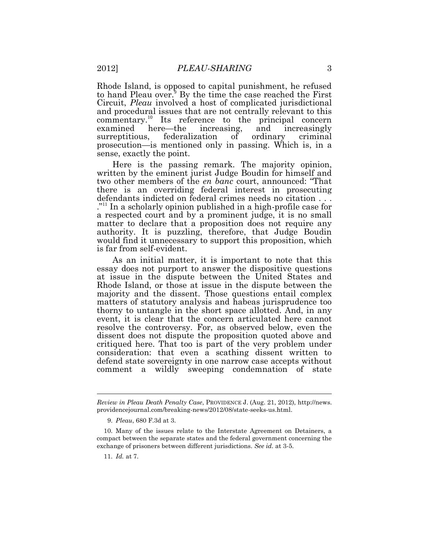Rhode Island, is opposed to capital punishment, he refused to hand Pleau over.<sup>9</sup> By the time the case reached the First Circuit, *Pleau* involved a host of complicated jurisdictional and procedural issues that are not centrally relevant to this commentary.<sup>10</sup> Its reference to the principal concern examined here—the increasing, and increasingly surreptitious, federalization of ordinary criminal prosecution—is mentioned only in passing. Which is, in a sense, exactly the point.

Here is the passing remark. The majority opinion, written by the eminent jurist Judge Boudin for himself and two other members of the *en banc* court, announced: "That there is an overriding federal interest in prosecuting defendants indicted on federal crimes needs no citation . . . ."<sup>11</sup> In a scholarly opinion published in a high-profile case for a respected court and by a prominent judge, it is no small matter to declare that a proposition does not require any authority. It is puzzling, therefore, that Judge Boudin would find it unnecessary to support this proposition, which is far from self-evident.

As an initial matter, it is important to note that this essay does not purport to answer the dispositive questions at issue in the dispute between the United States and Rhode Island, or those at issue in the dispute between the majority and the dissent. Those questions entail complex matters of statutory analysis and habeas jurisprudence too thorny to untangle in the short space allotted. And, in any event, it is clear that the concern articulated here cannot resolve the controversy. For, as observed below, even the dissent does not dispute the proposition quoted above and critiqued here. That too is part of the very problem under consideration: that even a scathing dissent written to defend state sovereignty in one narrow case accepts without comment a wildly sweeping condemnation of state

*Review in Pleau Death Penalty Case*, PROVIDENCE J. (Aug. 21, 2012), http://news. providencejournal.com/breaking-news/2012/08/state-seeks-us.html.

<sup>9.</sup> *Pleau*, 680 F.3d at 3.

<sup>10.</sup> Many of the issues relate to the Interstate Agreement on Detainers, a compact between the separate states and the federal government concerning the exchange of prisoners between different jurisdictions. *See id.* at 3-5.

<sup>11.</sup> *Id.* at 7.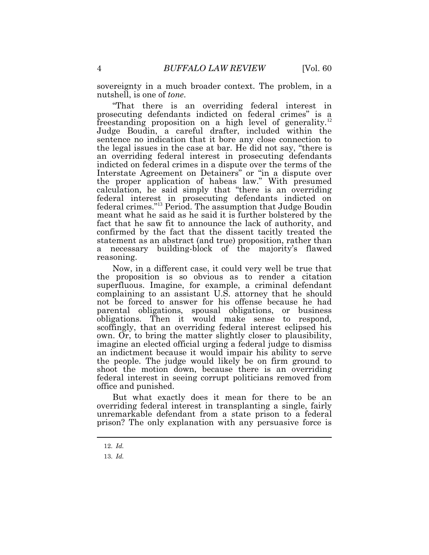sovereignty in a much broader context. The problem, in a nutshell, is one of *tone*.

"That there is an overriding federal interest in prosecuting defendants indicted on federal crimes" is a freestanding proposition on a high level of generality.<sup>12</sup> Judge Boudin, a careful drafter, included within the sentence no indication that it bore any close connection to the legal issues in the case at bar. He did not say, "there is an overriding federal interest in prosecuting defendants indicted on federal crimes in a dispute over the terms of the Interstate Agreement on Detainers" or "in a dispute over the proper application of habeas law." With presumed calculation, he said simply that "there is an overriding federal interest in prosecuting defendants indicted on federal crimes."<sup>13</sup> Period. The assumption that Judge Boudin meant what he said as he said it is further bolstered by the fact that he saw fit to announce the lack of authority, and confirmed by the fact that the dissent tacitly treated the statement as an abstract (and true) proposition, rather than a necessary building-block of the majority's flawed reasoning.

Now, in a different case, it could very well be true that the proposition is so obvious as to render a citation superfluous. Imagine, for example, a criminal defendant complaining to an assistant U.S. attorney that he should not be forced to answer for his offense because he had parental obligations, spousal obligations, or business obligations. Then it would make sense to respond, scoffingly, that an overriding federal interest eclipsed his own. Or, to bring the matter slightly closer to plausibility, imagine an elected official urging a federal judge to dismiss an indictment because it would impair his ability to serve the people. The judge would likely be on firm ground to shoot the motion down, because there is an overriding federal interest in seeing corrupt politicians removed from office and punished.

But what exactly does it mean for there to be an overriding federal interest in transplanting a single, fairly unremarkable defendant from a state prison to a federal prison? The only explanation with any persuasive force is

<sup>12.</sup> *Id.*

<sup>13.</sup> *Id.*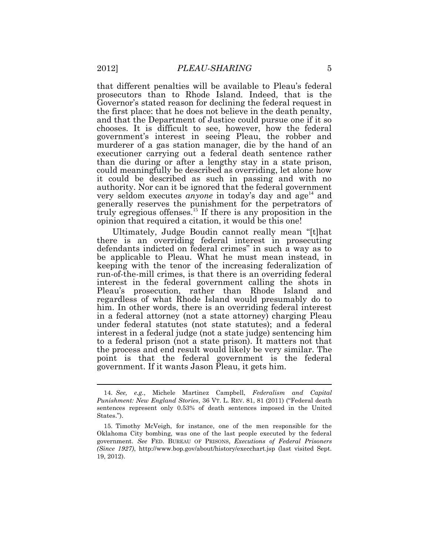that different penalties will be available to Pleau's federal prosecutors than to Rhode Island. Indeed, that is the Governor's stated reason for declining the federal request in the first place: that he does not believe in the death penalty, and that the Department of Justice could pursue one if it so chooses. It is difficult to see, however, how the federal government's interest in seeing Pleau, the robber and murderer of a gas station manager, die by the hand of an executioner carrying out a federal death sentence rather than die during or after a lengthy stay in a state prison, could meaningfully be described as overriding, let alone how it could be described as such in passing and with no authority. Nor can it be ignored that the federal government very seldom executes *anyone* in today's day and age<sup>14</sup> and generally reserves the punishment for the perpetrators of truly egregious offenses.<sup>15</sup> If there is any proposition in the opinion that required a citation, it would be this one!

Ultimately, Judge Boudin cannot really mean "[t]hat there is an overriding federal interest in prosecuting defendants indicted on federal crimes" in such a way as to be applicable to Pleau. What he must mean instead, in keeping with the tenor of the increasing federalization of run-of-the-mill crimes, is that there is an overriding federal interest in the federal government calling the shots in Pleau's prosecution, rather than Rhode Island and regardless of what Rhode Island would presumably do to him. In other words, there is an overriding federal interest in a federal attorney (not a state attorney) charging Pleau under federal statutes (not state statutes); and a federal interest in a federal judge (not a state judge) sentencing him to a federal prison (not a state prison). It matters not that the process and end result would likely be very similar. The point is that the federal government is the federal government. If it wants Jason Pleau, it gets him.

<sup>14.</sup> *See, e.g.*, Michele Martinez Campbell, *Federalism and Capital Punishment: New England Stories*, 36 VT. L. REV. 81, 81 (2011) ("Federal death sentences represent only 0.53% of death sentences imposed in the United States.").

<sup>15.</sup> Timothy McVeigh, for instance, one of the men responsible for the Oklahoma City bombing, was one of the last people executed by the federal government. *See* FED. BUREAU OF PRISONS, *Executions of Federal Prisoners (Since 1927)*, http://www.bop.gov/about/history/execchart.jsp (last visited Sept. 19, 2012).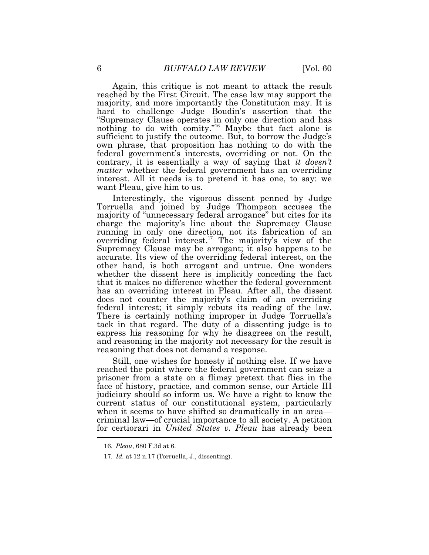Again, this critique is not meant to attack the result reached by the First Circuit. The case law may support the majority, and more importantly the Constitution may. It is hard to challenge Judge Boudin's assertion that the "Supremacy Clause operates in only one direction and has nothing to do with comity."<sup>16</sup> Maybe that fact alone is sufficient to justify the outcome. But, to borrow the Judge's own phrase, that proposition has nothing to do with the federal government's interests, overriding or not. On the contrary, it is essentially a way of saying that *it doesn't matter* whether the federal government has an overriding interest. All it needs is to pretend it has one, to say: we want Pleau, give him to us.

Interestingly, the vigorous dissent penned by Judge Torruella and joined by Judge Thompson accuses the majority of "unnecessary federal arrogance" but cites for its charge the majority's line about the Supremacy Clause running in only one direction, not its fabrication of an overriding federal interest.<sup>17</sup> The majority's view of the Supremacy Clause may be arrogant; it also happens to be accurate. Its view of the overriding federal interest, on the other hand, is both arrogant and untrue. One wonders whether the dissent here is implicitly conceding the fact that it makes no difference whether the federal government has an overriding interest in Pleau. After all, the dissent does not counter the majority's claim of an overriding federal interest; it simply rebuts its reading of the law. There is certainly nothing improper in Judge Torruella's tack in that regard. The duty of a dissenting judge is to express his reasoning for why he disagrees on the result, and reasoning in the majority not necessary for the result is reasoning that does not demand a response.

Still, one wishes for honesty if nothing else. If we have reached the point where the federal government can seize a prisoner from a state on a flimsy pretext that flies in the face of history, practice, and common sense, our Article III judiciary should so inform us. We have a right to know the current status of our constitutional system, particularly when it seems to have shifted so dramatically in an area criminal law—of crucial importance to all society. A petition for certiorari in *United States v. Pleau* has already been

<sup>16.</sup> *Pleau*, 680 F.3d at 6.

<sup>17.</sup> *Id.* at 12 n.17 (Torruella, J., dissenting).